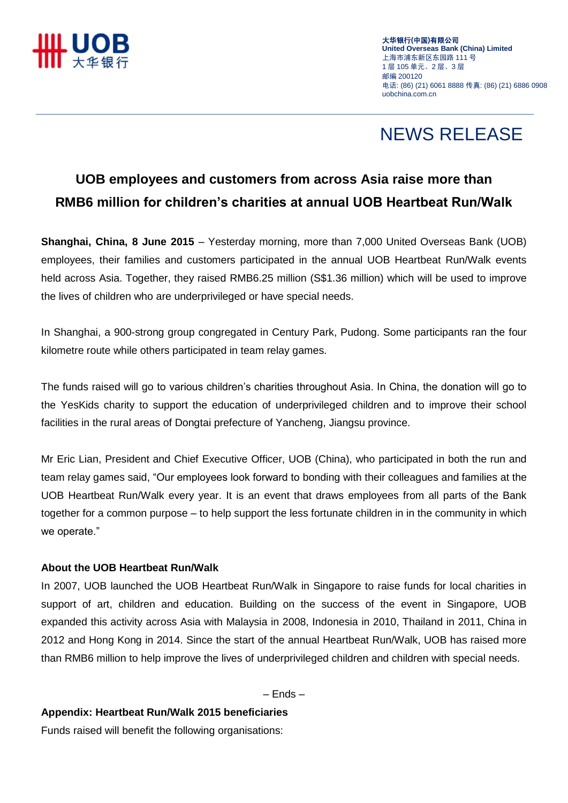

大华银行**(**中国**)**有限公司 **United Overseas Bank (China) Limited** 上海市浦东新区东园路 111 号 1 层 105 单元、2 层、3 层 邮编 200120 电话: (86) (21) 6061 8888 传真: (86) (21) 6886 0908 uobchina.com.cn

## NEWS RELEASE

### **UOB employees and customers from across Asia raise more than RMB6 million for children's charities at annual UOB Heartbeat Run/Walk**

**Shanghai, China, 8 June 2015** – Yesterday morning, more than 7,000 United Overseas Bank (UOB) employees, their families and customers participated in the annual UOB Heartbeat Run/Walk events held across Asia. Together, they raised RMB6.25 million (S\$1.36 million) which will be used to improve the lives of children who are underprivileged or have special needs.

In Shanghai, a 900-strong group congregated in Century Park, Pudong. Some participants ran the four kilometre route while others participated in team relay games.

The funds raised will go to various children's charities throughout Asia. In China, the donation will go to the YesKids charity to support the education of underprivileged children and to improve their school facilities in the rural areas of Dongtai prefecture of Yancheng, Jiangsu province.

Mr Eric Lian, President and Chief Executive Officer, UOB (China), who participated in both the run and team relay games said, "Our employees look forward to bonding with their colleagues and families at the UOB Heartbeat Run/Walk every year. It is an event that draws employees from all parts of the Bank together for a common purpose – to help support the less fortunate children in in the community in which we operate."

### **About the UOB Heartbeat Run/Walk**

In 2007, UOB launched the UOB Heartbeat Run/Walk in Singapore to raise funds for local charities in support of art, children and education. Building on the success of the event in Singapore, UOB expanded this activity across Asia with Malaysia in 2008, Indonesia in 2010, Thailand in 2011, China in 2012 and Hong Kong in 2014. Since the start of the annual Heartbeat Run/Walk, UOB has raised more than RMB6 million to help improve the lives of underprivileged children and children with special needs.

– Ends –

#### **Appendix: Heartbeat Run/Walk 2015 beneficiaries**

Funds raised will benefit the following organisations: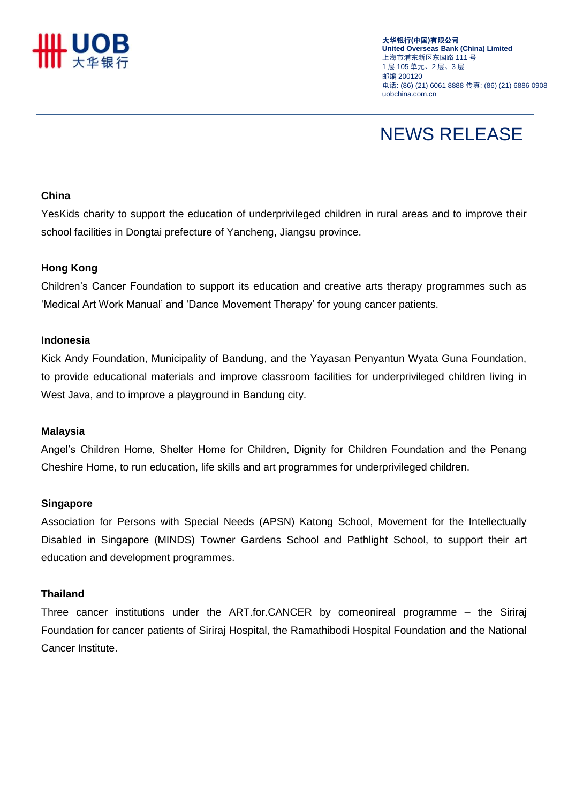

大华银行**(**中国**)**有限公司 **United Overseas Bank (China) Limited** 上海市浦东新区东园路 111 号 1 层 105 单元、2 层、3 层 邮编 200120 电话: (86) (21) 6061 8888 传真: (86) (21) 6886 0908 uobchina.com.cn

# NEWS RELEASE

#### **China**

YesKids charity to support the education of underprivileged children in rural areas and to improve their school facilities in Dongtai prefecture of Yancheng, Jiangsu province.

#### **Hong Kong**

Children"s Cancer Foundation to support its education and creative arts therapy programmes such as "Medical Art Work Manual" and "Dance Movement Therapy" for young cancer patients.

#### **Indonesia**

Kick Andy Foundation, Municipality of Bandung, and the Yayasan Penyantun Wyata Guna Foundation, to provide educational materials and improve classroom facilities for underprivileged children living in West Java, and to improve a playground in Bandung city.

#### **Malaysia**

Angel"s Children Home, Shelter Home for Children, Dignity for Children Foundation and the Penang Cheshire Home, to run education, life skills and art programmes for underprivileged children.

#### **Singapore**

Association for Persons with Special Needs (APSN) Katong School, Movement for the Intellectually Disabled in Singapore (MINDS) Towner Gardens School and Pathlight School, to support their art education and development programmes.

#### **Thailand**

Three cancer institutions under the ART.for.CANCER by comeonireal programme – the Siriraj Foundation for cancer patients of Siriraj Hospital, the Ramathibodi Hospital Foundation and the National Cancer Institute.